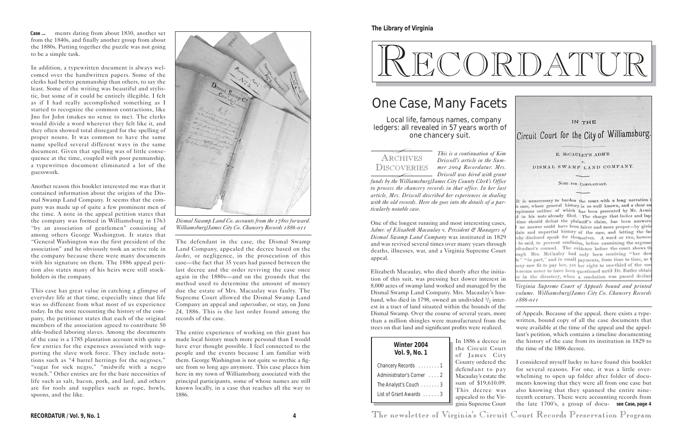*This is a continuation of Kim Driscoll's article in the Summer 2004 Recordatur. Mrs. Driscoll was hired with grant*

*funds by the Williamsburg/James City County Clerk's Office to process the chancery records in that office. In her last article, Mrs. Driscoll described her experiences in dealing*

It is unnecessary to burden the court with a long narration *with the old records. Here she goes into the details of a par*s case, whose general history is so well known, and a clear a *ticularly notable case.* spicuous outline of which has been presented by Mr. Armi in his note already filed. The charge that laches and lap time should defeat the plaintiff's claim, has been answere One of the longest running and most interesting cases, no answer could have been fairer and more proper-by givi *Admr. of Elizabeth Macaulay* v. *President & Managers of* lain and unpartial history of the case, and letting the fa *Dismal Swamp Land Company* was instituted in 1829 eby disclosed speak for themselves. A word or two, howe be said, to prevent confusion, before examining the argum and was revived several times over many years through efendant's counsel. The evidence before the court shows t deaths, illnesses, war, and a Virginia Supreme Court ugh Mrs. McCauley had only been receiving "her dow appeal. s" "in part," and in small payments, from time to time, as any saw fit to pay her, yet her right to one-third of the me seems never to have been questioned until Dr. Butler obtain Elizabeth Macaulay, who died shortly after the initiae in the directory, when a resolution was passed declar

tion of this suit, was pressing her dower interest in 8,000 acres of swamp land worked and managed by the Dismal Swamp Land Company. Mrs. Macaulay's husband, who died in 1798, owned an undivided  $1/2$  interest in a tract of land situated within the bounds of the Dismal Swamp. Over the course of several years, more than a million shingles were manufactured from the trees on that land and significant profits were realized.

of Appeals. Because of the appeal, there exists a typewritten, bound copy of all the case documents that were available at the time of the appeal and the appellant's petition, which contains a timeline documenting the history of the case from its institution in 1829 to the time of the 1886 decree.

ginia Supreme Court **RECORDATUR / Vol. 9, No. 1 4** The newsletter of Virginia's Circuit Court Records Preservation Program

decree in it Court

to the Vir-

IN THE

Circuit Court for the City of Williamsburg.

E. McCAULEY'S ADM'R

DISMAL SWAMP LAND COMPANY.

NOTE FOR COMPLAINANT.

# RECORDATUR

**The Library of Virginia**

| Winter 2004<br>Vol. 9, No. 1                                    | In 1886 a<br>the Circu<br>of Jame     |
|-----------------------------------------------------------------|---------------------------------------|
| Chancery Records 1                                              | County ord<br>defendant               |
| Administrator's Corner 2                                        | Macaulay's                            |
| The Analyst's Couch $\ldots \ldots 3$<br>List of Grant Awards 3 | sum of \$1<br>This dec<br>appealed to |
|                                                                 | cipio Cupro                           |

# One Case, Many Facets

Local life, famous names, company ledgers: all revealed in 57 years worth of one chancery suit.

ments dating from about 1830, another set **Case ...** from the 1840s, and finally another group from about the 1880s. Putting together the puzzle was not going to be a simple task.

> es City dered the to pay estate the 19,610.09. cree was I considered myself lucky to have found this booklet for several reasons. For one, it was a little overwhelming to open up folder after folder of documents knowing that they were all from one case but also knowing that they spanned the entire nineteenth century. There were accounting records from the late 1700's, a group of docu-**see Case, page 4**

ARCHIVES DISCOVERIES  $\overline{\phantom{0}}$  $\overbrace{\phantom{1}}^{10 \text{ V } \text{Li}}$ 

In addition, a typewritten document is always welcomed over the handwritten papers. Some of the clerks had better penmanship than others, to say the least. Some of the writing was beautiful and stylistic, but some of it could be entirely illegible. I felt as if I had really accomplished something as I started to recognize the common contractions, like Jno for John (makes no sense to me). The clerks would divide a word wherever they felt like it, and they often showed total disregard for the spelling of proper nouns. It was common to have the same name spelled several different ways in the same document. Given that spelling was of little consequence at the time, coupled with poor penmanship, a typewritten document eliminated a lot of the guesswork.

Another reason this booklet interested me was that it contained information about the origins of the Dismal Swamp Land Company. It seems that the company was made up of quite a few prominent men of the time. A note in the appeal petition states that the company was formed in Williamsburg in 1763 "by an association of gentlemen" consisting of among others George Washington. It states that "General Washington was the first president of the association" and he obviously took an active role in the company because there were many documents with his signature on them. The 1886 appeal petition also states many of his heirs were still stockholders in the company.

This case has great value in catching a glimpse of everyday life at that time, especially since that life was so different from what most of us experience today. In the note recounting the history of the company, the petitioner states that each of the original members of the association agreed to contribute 50 able-bodied laboring slaves. Among the documents of the case is a 1785 plantation account with quite a few entries for the expenses associated with supporting the slave work force. They include notations such as "4 barrel herrings for the negroes," "sugar for sick negro," "midwife with a negro wench." Other entries are for the bare necessities of life such as salt, bacon, pork, and lard, and others are for tools and supplies such as rope, bowls, spoons, and the like.

The defendant in the case, the Dismal Swamp Land Company, appealed the decree based on the *laches*, or negligence, in the prosecution of this case—the fact that 35 years had passed between the last decree and the order reviving the case once again in the 1880s—and on the grounds that the method used to determine the amount of money due the estate of Mrs. Macaulay was faulty. The Supreme Court allowed the Dismal Swamp Land Company an appeal and *supersedeas,* or stay, on June 24, 1886. This is the last order found among the records of the case.

The entire experience of working on this grant has made local history much more personal than I would have ever thought possible. I feel connected to the people and the events because I am familiar with them. George Washington is not quite so mythic a figure from so long ago anymore. This case places him here in my town of Williamsburg associated with the principal participants, some of whose names are still known locally, in a case that reaches all the way to 1886.



*Dismal Swamp Land Co. accounts from the 1780s forward. Williamsburg/James City Co. Chancery Records 1886-011*

*Virginia Supreme Court of Appeals bound and printed volume. Williamsburg/James City Co. Chancery Records 1886-011*